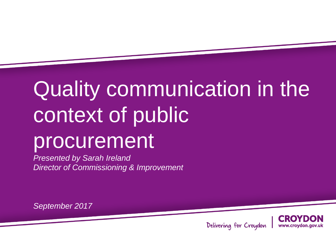### **Presentation COMMITION** *Presented by John Smith* Quality communication in the context of public procurement

*Presented by Sarah Ireland Director of Commissioning & Improvement*

*September 2017*



Delivering for Croydon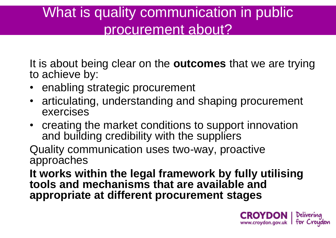# What is quality communication in public procurement about?

It is about being clear on the **outcomes** that we are trying to achieve by:

- enabling strategic procurement
- articulating, understanding and shaping procurement exercises
- creating the market conditions to support innovation and building credibility with the suppliers

Quality communication uses two-way, proactive approaches

**It works within the legal framework by fully utilising tools and mechanisms that are available and appropriate at different procurement stages** 

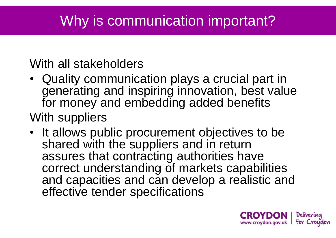# Why is communication important?

### With all stakeholders

- Quality communication plays a crucial part in generating and inspiring innovation, best value for money and embedding added benefits With suppliers
- It allows public procurement objectives to be shared with the suppliers and in return assures that contracting authorities have correct understanding of markets capabilities and capacities and can develop a realistic and effective tender specifications

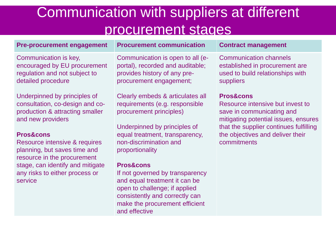## Communication with suppliers at different procurement stages

#### **Pre-procurement engagement Procurement communication Contract management**

Communication is key, encouraged by EU procurement regulation and not subject to detailed procedure

Underpinned by principles of consultation, co-design and coproduction & attracting smaller and new providers

#### **Pros&cons**

Resource intensive & requires planning, but saves time and resource in the procurement stage, can identify and mitigate any risks to either process or service

Communication is open to all (eportal), recorded and auditable; provides history of any preprocurement engagement;

Clearly embeds & articulates all requirements (e.g. responsible procurement principles)

Underpinned by principles of equal treatment, transparency, non-discrimination and proportionality

### **Pros&cons**

If not governed by transparency and equal treatment it can be open to challenge; if applied consistently and correctly can make the procurement efficient and effective

Communication channels established in procurement are used to build relationships with suppliers

#### **Pros&cons**

Resource intensive but invest to save in communicating and mitigating potential issues, ensures that the supplier continues fulfilling the objectives and deliver their commitments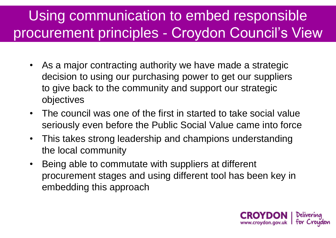# Using communication to embed responsible procurement principles - Croydon Council's View

- As a major contracting authority we have made a strategic decision to using our purchasing power to get our suppliers to give back to the community and support our strategic objectives
- The council was one of the first in started to take social value seriously even before the Public Social Value came into force
- This takes strong leadership and champions understanding the local community
- Being able to commutate with suppliers at different procurement stages and using different tool has been key in embedding this approach

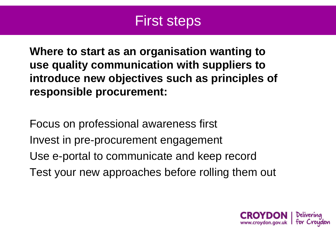### First steps

**Where to start as an organisation wanting to use quality communication with suppliers to introduce new objectives such as principles of responsible procurement:** 

Focus on professional awareness first Invest in pre-procurement engagement Use e-portal to communicate and keep record Test your new approaches before rolling them out